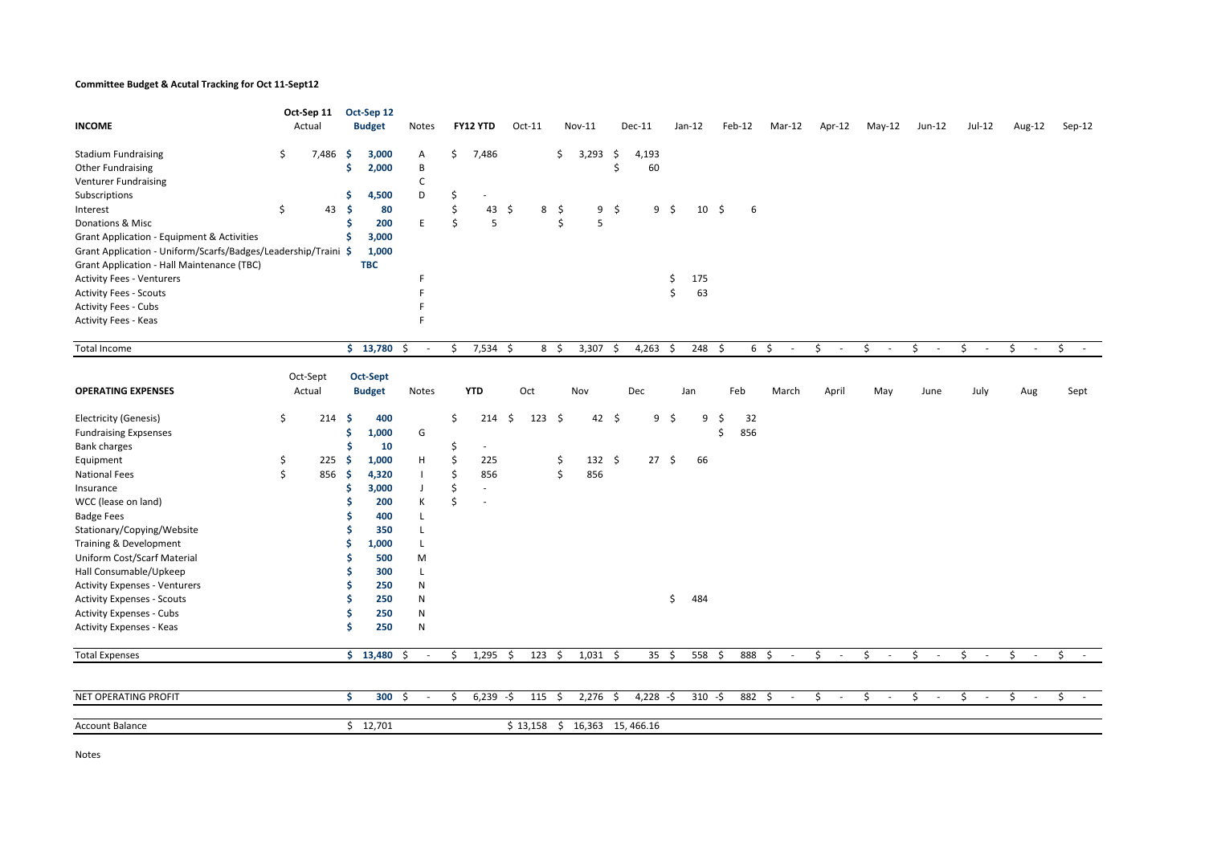## Committee Budget & Acutal Tracking for Oct 11-Sept12

|                                                                | Oct-Sep 11 |          |     | Oct-Sep 12    |                |                     |                          |      |                |    |                  |     |                  |     |           |     |        |                |                          |              |              |          |        |              |              |        |
|----------------------------------------------------------------|------------|----------|-----|---------------|----------------|---------------------|--------------------------|------|----------------|----|------------------|-----|------------------|-----|-----------|-----|--------|----------------|--------------------------|--------------|--------------|----------|--------|--------------|--------------|--------|
| <b>INCOME</b>                                                  |            | Actual   |     | <b>Budget</b> | Notes          |                     | FY12 YTD                 |      | $Oct-11$       |    | Nov-11           |     | Dec-11           |     | $Jan-12$  |     | Feb-12 |                | Mar-12                   | Apr-12       | May-12       | $Jun-12$ |        | Jul-12       | Aug-12       | Sep-12 |
| <b>Stadium Fundraising</b>                                     | \$         | 7,486    | -\$ | 3,000         | A              | \$                  | 7,486                    |      |                | \$ | 3,293            | \$  | 4,193            |     |           |     |        |                |                          |              |              |          |        |              |              |        |
| <b>Other Fundraising</b>                                       |            |          | \$  | 2,000         | В              |                     |                          |      |                |    |                  | Ś   | 60               |     |           |     |        |                |                          |              |              |          |        |              |              |        |
| Venturer Fundraising                                           |            |          |     |               | C              |                     |                          |      |                |    |                  |     |                  |     |           |     |        |                |                          |              |              |          |        |              |              |        |
| Subscriptions                                                  |            |          | \$  | 4,500         | D              | \$                  |                          |      |                |    |                  |     |                  |     |           |     |        |                |                          |              |              |          |        |              |              |        |
| Interest                                                       | Ŝ.         | 43       | Ŝ.  | 80            |                | Ś                   | 43                       | Ŝ.   | 8              | -Ş | 9                | \$  | 9                | - Ś | 10        | \$  | 6      |                |                          |              |              |          |        |              |              |        |
| Donations & Misc                                               |            |          | Ś   | 200           | E              | Ś                   | 5                        |      |                | Ś  | 5                |     |                  |     |           |     |        |                |                          |              |              |          |        |              |              |        |
| Grant Application - Equipment & Activities                     |            |          | Ś   | 3,000         |                |                     |                          |      |                |    |                  |     |                  |     |           |     |        |                |                          |              |              |          |        |              |              |        |
| Grant Application - Uniform/Scarfs/Badges/Leadership/Traini \$ |            |          |     | 1,000         |                |                     |                          |      |                |    |                  |     |                  |     |           |     |        |                |                          |              |              |          |        |              |              |        |
| Grant Application - Hall Maintenance (TBC)                     |            |          |     | <b>TBC</b>    |                |                     |                          |      |                |    |                  |     |                  |     |           |     |        |                |                          |              |              |          |        |              |              |        |
| <b>Activity Fees - Venturers</b>                               |            |          |     |               |                |                     |                          |      |                |    |                  |     |                  | \$  | 175       |     |        |                |                          |              |              |          |        |              |              |        |
| <b>Activity Fees - Scouts</b>                                  |            |          |     |               |                |                     |                          |      |                |    |                  |     |                  | \$  | 63        |     |        |                |                          |              |              |          |        |              |              |        |
| <b>Activity Fees - Cubs</b>                                    |            |          |     |               |                |                     |                          |      |                |    |                  |     |                  |     |           |     |        |                |                          |              |              |          |        |              |              |        |
| Activity Fees - Keas                                           |            |          |     |               |                |                     |                          |      |                |    |                  |     |                  |     |           |     |        |                |                          |              |              |          |        |              |              |        |
| Total Income                                                   |            |          |     | \$13,780      | \$<br>$\sim$   | \$                  | $7,534$ \$               |      | $8\frac{2}{3}$ |    | 3,307            | -\$ | 4,263            | \$  | 248       | -\$ |        | $6\frac{1}{2}$ | $\overline{\phantom{a}}$ | \$<br>$\sim$ | \$<br>$\sim$ | \$       | $\sim$ | \$<br>$\sim$ | \$<br>$\sim$ | \$     |
|                                                                |            |          |     |               |                |                     |                          |      |                |    |                  |     |                  |     |           |     |        |                |                          |              |              |          |        |              |              |        |
|                                                                |            | Oct-Sept |     | Oct-Sept      |                |                     |                          |      |                |    |                  |     |                  |     |           |     |        |                |                          |              |              |          |        |              |              |        |
| <b>OPERATING EXPENSES</b>                                      |            | Actual   |     | <b>Budget</b> | Notes          |                     | <b>YTD</b>               |      | Oct            |    | Nov              |     | Dec              |     | Jan       |     | Feb    |                | March                    | April        | May          | June     |        | July         | Aug          | Sept   |
| <b>Electricity (Genesis)</b>                                   | \$         | 214      | -\$ | 400           |                | \$                  | 214                      | - \$ | 123            | \$ | 42               | -\$ | 9                | \$  | 9         | \$  | 32     |                |                          |              |              |          |        |              |              |        |
| <b>Fundraising Expsenses</b>                                   |            |          | \$  | 1,000         | G              |                     |                          |      |                |    |                  |     |                  |     |           | Ś   | 856    |                |                          |              |              |          |        |              |              |        |
| <b>Bank charges</b>                                            |            |          | Ś   | 10            |                | \$                  | $\overline{\phantom{a}}$ |      |                |    |                  |     |                  |     |           |     |        |                |                          |              |              |          |        |              |              |        |
| Equipment                                                      | \$         | 225      | -\$ | 1,000         | н              | Ś                   | 225                      |      |                | \$ | 132 $$$          |     | $27 \frac{2}{3}$ |     | 66        |     |        |                |                          |              |              |          |        |              |              |        |
| <b>National Fees</b>                                           | \$         | 856      | -\$ | 4,320         | $\blacksquare$ | \$                  | 856                      |      |                | \$ | 856              |     |                  |     |           |     |        |                |                          |              |              |          |        |              |              |        |
| Insurance                                                      |            |          | \$  | 3,000         | J              | \$                  | ٠                        |      |                |    |                  |     |                  |     |           |     |        |                |                          |              |              |          |        |              |              |        |
| WCC (lease on land)                                            |            |          | Ś   | 200           | К              | $\ddot{\mathsf{S}}$ |                          |      |                |    |                  |     |                  |     |           |     |        |                |                          |              |              |          |        |              |              |        |
| <b>Badge Fees</b>                                              |            |          | S   | 400           | L              |                     |                          |      |                |    |                  |     |                  |     |           |     |        |                |                          |              |              |          |        |              |              |        |
| Stationary/Copying/Website                                     |            |          | Ś   | 350           | L              |                     |                          |      |                |    |                  |     |                  |     |           |     |        |                |                          |              |              |          |        |              |              |        |
| Training & Development                                         |            |          | \$  | 1,000         | L              |                     |                          |      |                |    |                  |     |                  |     |           |     |        |                |                          |              |              |          |        |              |              |        |
| Uniform Cost/Scarf Material                                    |            |          | S   | 500           | M              |                     |                          |      |                |    |                  |     |                  |     |           |     |        |                |                          |              |              |          |        |              |              |        |
| Hall Consumable/Upkeep                                         |            |          |     | 300           | L              |                     |                          |      |                |    |                  |     |                  |     |           |     |        |                |                          |              |              |          |        |              |              |        |
| <b>Activity Expenses - Venturers</b>                           |            |          | Ŝ   | 250           | ${\sf N}$      |                     |                          |      |                |    |                  |     |                  |     |           |     |        |                |                          |              |              |          |        |              |              |        |
| <b>Activity Expenses - Scouts</b>                              |            |          | Ś   | 250           | ${\sf N}$      |                     |                          |      |                |    |                  |     |                  | \$  | 484       |     |        |                |                          |              |              |          |        |              |              |        |
| <b>Activity Expenses - Cubs</b>                                |            |          | Ŝ   | 250           | N              |                     |                          |      |                |    |                  |     |                  |     |           |     |        |                |                          |              |              |          |        |              |              |        |
| Activity Expenses - Keas                                       |            |          | Ś   | 250           | ${\sf N}$      |                     |                          |      |                |    |                  |     |                  |     |           |     |        |                |                          |              |              |          |        |              |              |        |
| <b>Total Expenses</b>                                          |            |          |     | \$13,480      | -\$<br>$\sim$  | \$                  | 1,295                    | -\$  | $123 \quad $$  |    | $1,031$ \$       |     | $35 \quad $5$    |     | 558       | -\$ | 888 \$ |                | $\overline{\phantom{a}}$ | \$<br>$\sim$ | \$<br>$\sim$ | \$       | $\sim$ | \$<br>$\sim$ | \$<br>$\sim$ | \$     |
|                                                                |            |          |     |               |                |                     |                          |      |                |    |                  |     |                  |     |           |     |        |                |                          |              |              |          |        |              |              |        |
| NET OPERATING PROFIT                                           |            |          | Ŝ.  | $300 \div$    | $\sim$         | \$                  | $6,239 - $$              |      | 115 \$         |    | $2,276$ \$       |     | $4,228 - $$      |     | $310 - $$ |     | 882 \$ |                | $\sim$                   | \$<br>$\sim$ | \$<br>$\sim$ | \$       | $\sim$ | \$<br>$\sim$ | \$<br>$\sim$ | \$     |
|                                                                |            |          |     |               |                |                     |                          |      |                |    |                  |     |                  |     |           |     |        |                |                          |              |              |          |        |              |              |        |
| <b>Account Balance</b>                                         |            |          |     | \$12,701      |                |                     |                          |      | $$13,158$ \$   |    | 16,363 15,466.16 |     |                  |     |           |     |        |                |                          |              |              |          |        |              |              |        |

Notes